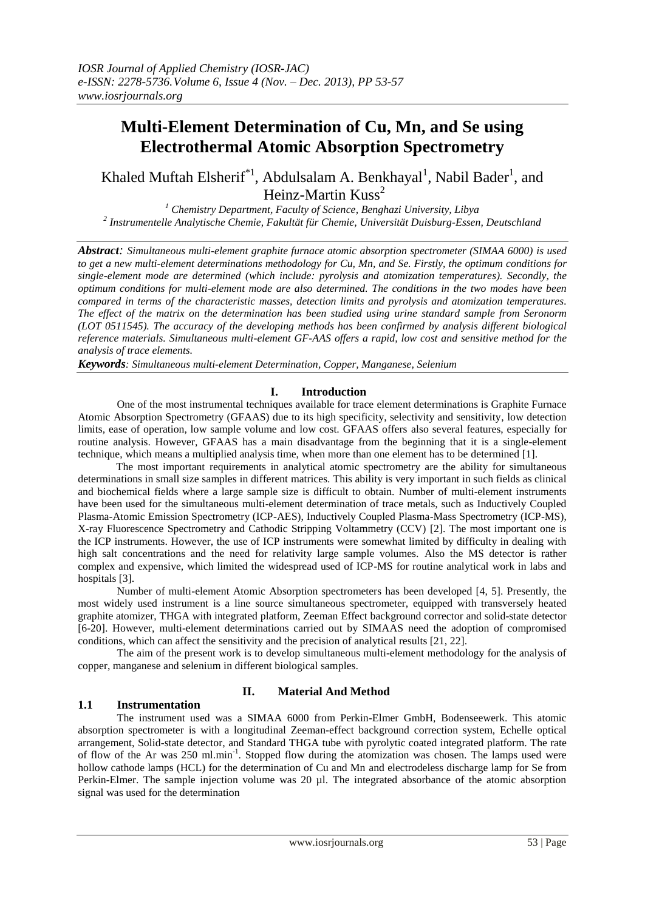# **Multi-Element Determination of Cu, Mn, and Se using Electrothermal Atomic Absorption Spectrometry**

Khaled Muftah Elsherif<sup>\*1</sup>, Abdulsalam A. Benkhayal<sup>1</sup>, Nabil Bader<sup>1</sup>, and Heinz-Martin Kuss<sup>2</sup>

*<sup>1</sup> Chemistry Department, Faculty of Science, Benghazi University, Libya 2 Instrumentelle Analytische Chemie, Fakultät für Chemie, Universität Duisburg-Essen, Deutschland*

*Abstract: Simultaneous multi-element graphite furnace atomic absorption spectrometer (SIMAA 6000) is used to get a new multi-element determinations methodology for Cu, Mn, and Se. Firstly, the optimum conditions for single-element mode are determined (which include: pyrolysis and atomization temperatures). Secondly, the optimum conditions for multi-element mode are also determined. The conditions in the two modes have been compared in terms of the characteristic masses, detection limits and pyrolysis and atomization temperatures. The effect of the matrix on the determination has been studied using urine standard sample from Seronorm (LOT 0511545). The accuracy of the developing methods has been confirmed by analysis different biological reference materials. Simultaneous multi-element GF-AAS offers a rapid, low cost and sensitive method for the analysis of trace elements.*

*Keywords: Simultaneous multi-element Determination, Copper, Manganese, Selenium*

#### **I. Introduction**

One of the most instrumental techniques available for trace element determinations is Graphite Furnace Atomic Absorption Spectrometry (GFAAS) due to its high specificity, selectivity and sensitivity, low detection limits, ease of operation, low sample volume and low cost. GFAAS offers also several features, especially for routine analysis. However, GFAAS has a main disadvantage from the beginning that it is a single-element technique, which means a multiplied analysis time, when more than one element has to be determined [1].

The most important requirements in analytical atomic spectrometry are the ability for simultaneous determinations in small size samples in different matrices. This ability is very important in such fields as clinical and biochemical fields where a large sample size is difficult to obtain. Number of multi-element instruments have been used for the simultaneous multi-element determination of trace metals, such as Inductively Coupled Plasma-Atomic Emission Spectrometry (ICP-AES), Inductively Coupled Plasma-Mass Spectrometry (ICP-MS), X-ray Fluorescence Spectrometry and Cathodic Stripping Voltammetry (CCV) [2]. The most important one is the ICP instruments. However, the use of ICP instruments were somewhat limited by difficulty in dealing with high salt concentrations and the need for relativity large sample volumes. Also the MS detector is rather complex and expensive, which limited the widespread used of ICP-MS for routine analytical work in labs and hospitals [3].

Number of multi-element Atomic Absorption spectrometers has been developed [4, 5]. Presently, the most widely used instrument is a line source simultaneous spectrometer, equipped with transversely heated graphite atomizer, THGA with integrated platform, Zeeman Effect background corrector and solid-state detector [6-20]. However, multi-element determinations carried out by SIMAAS need the adoption of compromised conditions, which can affect the sensitivity and the precision of analytical results [21, 22].

The aim of the present work is to develop simultaneous multi-element methodology for the analysis of copper, manganese and selenium in different biological samples.

#### **1.1 Instrumentation**

#### **II. Material And Method**

The instrument used was a SIMAA 6000 from Perkin-Elmer GmbH, Bodenseewerk. This atomic absorption spectrometer is with a longitudinal Zeeman-effect background correction system, Echelle optical arrangement, Solid-state detector, and Standard THGA tube with pyrolytic coated integrated platform. The rate of flow of the Ar was 250 ml.min<sup>-1</sup>. Stopped flow during the atomization was chosen. The lamps used were hollow cathode lamps (HCL) for the determination of Cu and Mn and electrodeless discharge lamp for Se from Perkin-Elmer. The sample injection volume was 20 µl. The integrated absorbance of the atomic absorption signal was used for the determination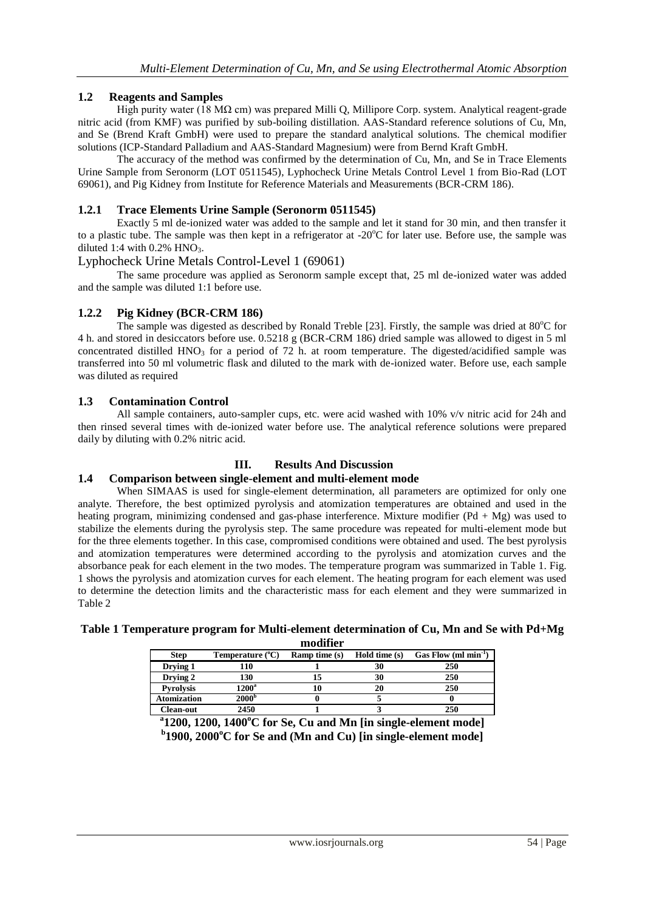## **1.2 Reagents and Samples**

High purity water (18 MΩ cm) was prepared Milli Q, Millipore Corp. system. Analytical reagent-grade nitric acid (from KMF) was purified by sub-boiling distillation. AAS-Standard reference solutions of Cu, Mn, and Se (Brend Kraft GmbH) were used to prepare the standard analytical solutions. The chemical modifier solutions (ICP-Standard Palladium and AAS-Standard Magnesium) were from Bernd Kraft GmbH.

The accuracy of the method was confirmed by the determination of Cu, Mn, and Se in Trace Elements Urine Sample from Seronorm (LOT 0511545), Lyphocheck Urine Metals Control Level 1 from Bio-Rad (LOT 69061), and Pig Kidney from Institute for Reference Materials and Measurements (BCR-CRM 186).

## **1.2.1 Trace Elements Urine Sample (Seronorm 0511545)**

Exactly 5 ml de-ionized water was added to the sample and let it stand for 30 min, and then transfer it to a plastic tube. The sample was then kept in a refrigerator at -20 $^{\circ}$ C for later use. Before use, the sample was diluted 1:4 with  $0.2\%$  HNO<sub>3</sub>.

#### Lyphocheck Urine Metals Control-Level 1 (69061)

The same procedure was applied as Seronorm sample except that, 25 ml de-ionized water was added and the sample was diluted 1:1 before use.

## **1.2.2 Pig Kidney (BCR-CRM 186)**

The sample was digested as described by Ronald Treble [23]. Firstly, the sample was dried at  $80^{\circ}$ C for 4 h. and stored in desiccators before use. 0.5218 g (BCR-CRM 186) dried sample was allowed to digest in 5 ml concentrated distilled HNO<sub>3</sub> for a period of 72 h. at room temperature. The digested/acidified sample was transferred into 50 ml volumetric flask and diluted to the mark with de-ionized water. Before use, each sample was diluted as required

#### **1.3 Contamination Control**

All sample containers, auto-sampler cups, etc. were acid washed with 10% v/v nitric acid for 24h and then rinsed several times with de-ionized water before use. The analytical reference solutions were prepared daily by diluting with 0.2% nitric acid.

#### **III. Results And Discussion**

#### **1.4 Comparison between single-element and multi-element mode**

When SIMAAS is used for single-element determination, all parameters are optimized for only one analyte. Therefore, the best optimized pyrolysis and atomization temperatures are obtained and used in the heating program, minimizing condensed and gas-phase interference. Mixture modifier  $(Pd + Mg)$  was used to stabilize the elements during the pyrolysis step. The same procedure was repeated for multi-element mode but for the three elements together. In this case, compromised conditions were obtained and used. The best pyrolysis and atomization temperatures were determined according to the pyrolysis and atomization curves and the absorbance peak for each element in the two modes. The temperature program was summarized in Table 1. Fig. 1 shows the pyrolysis and atomization curves for each element. The heating program for each element was used to determine the detection limits and the characteristic mass for each element and they were summarized in Table 2

## **Table 1 Temperature program for Multi-element determination of Cu, Mn and Se with Pd+Mg**

**modifier**

| <b>Step</b>        | Temperature $(^{\circ}C)$ | <b>Ramp</b> time $(s)$ | Hold time (s) | Gas Flow $(ml min-1)$ |
|--------------------|---------------------------|------------------------|---------------|-----------------------|
| Drying 1           | 110                       |                        |               | 250                   |
| Drying 2           | 130                       |                        | 30            | 250                   |
| <b>Pyrolysis</b>   | $1200^{\rm a}$            |                        | 20            | 250                   |
| <b>Atomization</b> | $2000^{\rm b}$            |                        |               |                       |
| Clean-out          | 2450                      |                        |               | 250                   |

**a 1200, 1200, 1400<sup>o</sup>C for Se, Cu and Mn [in single-element mode] b 1900, 2000<sup>o</sup>C for Se and (Mn and Cu) [in single-element mode]**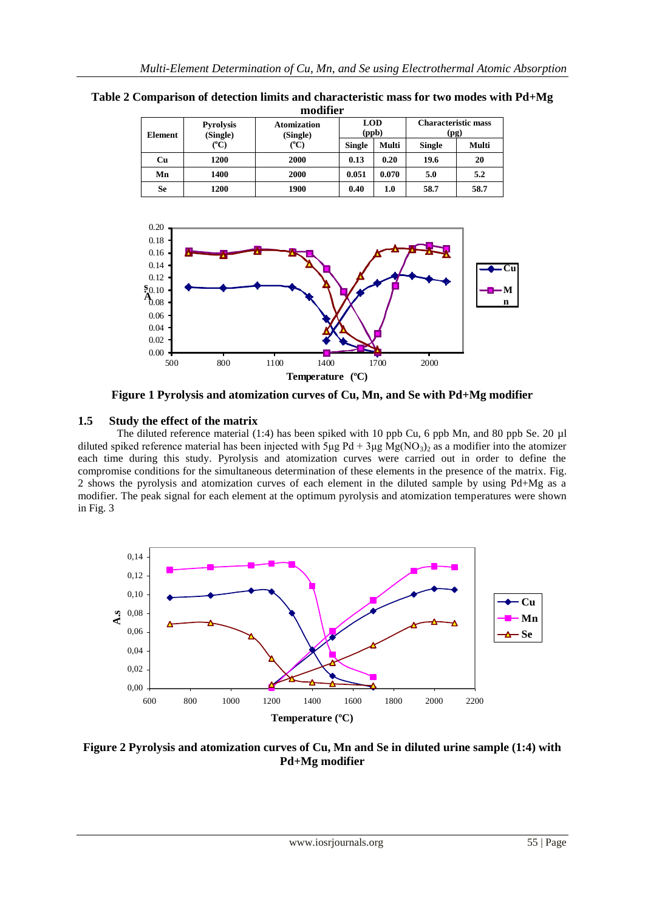**Table 2 Comparison of detection limits and characteristic mass for two modes with Pd+Mg modifier**

| <b>Element</b> | <b>Pyrolysis</b><br>(Single)<br>$({}^oC)$ | <b>Atomization</b><br>(Single)<br>${}^{\circ}C$ |               | <b>LOD</b><br>(ppb) | <b>Characteristic mass</b><br>(pg) |       |  |  |  |
|----------------|-------------------------------------------|-------------------------------------------------|---------------|---------------------|------------------------------------|-------|--|--|--|
|                |                                           |                                                 | <b>Single</b> | Multi               | <b>Single</b>                      | Multi |  |  |  |
| Cu             | 1200                                      | 2000                                            | 0.13          | 0.20                | 19.6                               | 20    |  |  |  |
| Mn             | 1400                                      | 2000                                            | 0.051         | 0.070               | 5.0                                | 5.2   |  |  |  |
| Se             | 1200                                      | 1900                                            | 0.40          | 1.0                 | 58.7                               | 58.7  |  |  |  |



**Figure 1 Pyrolysis and atomization curves of Cu, Mn, and Se with Pd+Mg modifier**

#### **1.5 Study the effect of the matrix**

The diluted reference material (1:4) has been spiked with 10 ppb Cu, 6 ppb Mn, and 80 ppb Se. 20 µl diluted spiked reference material has been injected with 5μg Pd + 3μg Mg(NO<sub>3</sub>)<sub>2</sub> as a modifier into the atomizer each time during this study. Pyrolysis and atomization curves were carried out in order to define the compromise conditions for the simultaneous determination of these elements in the presence of the matrix. Fig. 2 shows the pyrolysis and atomization curves of each element in the diluted sample by using Pd+Mg as a modifier. The peak signal for each element at the optimum pyrolysis and atomization temperatures were shown in Fig. 3



**Figure 2 Pyrolysis and atomization curves of Cu, Mn and Se in diluted urine sample (1:4) with Pd+Mg modifier**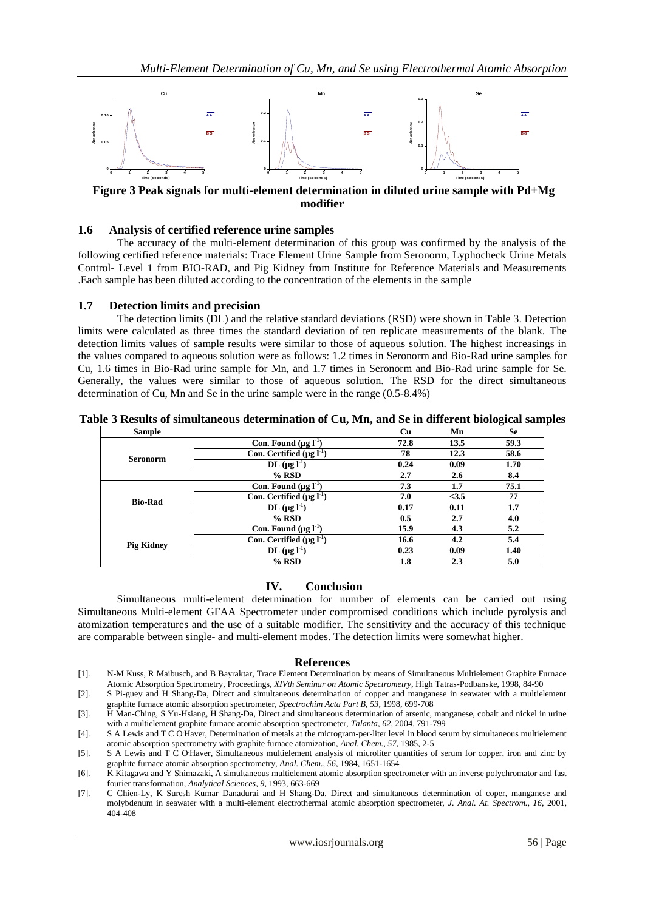

**Figure 3 Peak signals for multi-element determination in diluted urine sample with Pd+Mg modifier** 

#### **1.6 Analysis of certified reference urine samples**

The accuracy of the multi-element determination of this group was confirmed by the analysis of the following certified reference materials: Trace Element Urine Sample from Seronorm, Lyphocheck Urine Metals Control- Level 1 from BIO-RAD, and Pig Kidney from Institute for Reference Materials and Measurements .Each sample has been diluted according to the concentration of the elements in the sample

#### **1.7 Detection limits and precision**

The detection limits (DL) and the relative standard deviations (RSD) were shown in Table 3. Detection limits were calculated as three times the standard deviation of ten replicate measurements of the blank. The detection limits values of sample results were similar to those of aqueous solution. The highest increasings in the values compared to aqueous solution were as follows: 1.2 times in Seronorm and Bio-Rad urine samples for Cu, 1.6 times in Bio-Rad urine sample for Mn, and 1.7 times in Seronorm and Bio-Rad urine sample for Se. Generally, the values were similar to those of aqueous solution. The RSD for the direct simultaneous determination of Cu, Mn and Se in the urine sample were in the range (0.5-8.4%)

| <b>Sample</b>     |                                 | Cu   | Mn   | <b>Se</b> |
|-------------------|---------------------------------|------|------|-----------|
|                   | Con. Found $(\mu g l^{-1})$     | 72.8 | 13.5 | 59.3      |
| <b>Seronorm</b>   | Con. Certified $(\mu g I^{-1})$ | 78   | 12.3 | 58.6      |
|                   | DL $(\mu g l^{-1})$             | 0.24 | 0.09 | 1.70      |
|                   | $%$ RSD                         | 2.7  | 2.6  | 8.4       |
|                   | Con. Found $(\mu g I^{-1})$     | 7.3  | 1.7  | 75.1      |
| <b>Bio-Rad</b>    | Con. Certified $(\mu g I^{-1})$ | 7.0  | <3.5 | 77        |
|                   | DL $(\mu g I^1)$                | 0.17 | 0.11 | 1.7       |
|                   | $%$ RSD                         | 0.5  | 2.7  | 4.0       |
|                   | Con. Found $(\mu g I^{-1})$     | 15.9 | 4.3  | 5.2       |
| <b>Pig Kidney</b> | Con. Certified $(\mu g I^{-1})$ | 16.6 | 4.2  | 5.4       |
|                   | DL $(\mu g I^1)$                | 0.23 | 0.09 | 1.40      |
|                   | $%$ RSD                         | 1.8  | 2.3  | 5.0       |

**Table 3 Results of simultaneous determination of Cu, Mn, and Se in different biological samples**

#### **IV. Conclusion**

Simultaneous multi-element determination for number of elements can be carried out using Simultaneous Multi-element GFAA Spectrometer under compromised conditions which include pyrolysis and atomization temperatures and the use of a suitable modifier. The sensitivity and the accuracy of this technique are comparable between single- and multi-element modes. The detection limits were somewhat higher.

#### **References**

- [1]. N-M Kuss, R Maibusch, and B Bayraktar, Trace Element Determination by means of Simultaneous Multielement Graphite Furnace Atomic Absorption Spectrometry, Proceedings, *XIVth Seminar on Atomic Spectrometry*, High Tatras-Podbanske, 1998, 84-90
- [2]. S Pi-guey and H Shang-Da, Direct and simultaneous determination of copper and manganese in seawater with a multielement graphite furnace atomic absorption spectrometer, *Spectrochim Acta Part B, 53*, 1998, 699-708
- [3]. H Man-Ching, S Yu-Hsiang, H Shang-Da, Direct and simultaneous determination of arsenic, manganese, cobalt and nickel in urine with a multielement graphite furnace atomic absorption spectrometer, *Talanta, 62*, 2004, 791-799
- [4]. S A Lewis and T C O Haver, Determination of metals at the microgram-per-liter level in blood serum by simultaneous multielement atomic absorption spectrometry with graphite furnace atomization, *Anal. Chem., 57*, 1985, 2-5
- [5]. S A Lewis and T C O Haver, Simultaneous multielement analysis of microliter quantities of serum for copper, iron and zinc by graphite furnace atomic absorption spectrometry, *Anal. Chem., 56*, 1984, 1651-1654
- [6]. K Kitagawa and Y Shimazaki, A simultaneous multielement atomic absorption spectrometer with an inverse polychromator and fast fourier transformation, *Analytical Sciences, 9*, 1993, 663-669
- [7]. C Chien-Ly, K Suresh Kumar Danadurai and H Shang-Da, Direct and simultaneous determination of coper, manganese and molybdenum in seawater with a multi-element electrothermal atomic absorption spectrometer, *J. Anal. At. Spectrom., 16*, 2001, 404-408